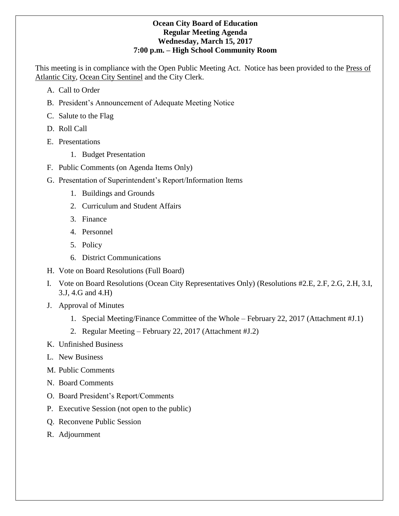#### **Ocean City Board of Education Regular Meeting Agenda Wednesday, March 15, 2017 7:00 p.m. – High School Community Room**

This meeting is in compliance with the Open Public Meeting Act. Notice has been provided to the Press of Atlantic City, Ocean City Sentinel and the City Clerk.

- A. Call to Order
- B. President's Announcement of Adequate Meeting Notice
- C. Salute to the Flag
- D. Roll Call
- E. Presentations
	- 1. Budget Presentation
- F. Public Comments (on Agenda Items Only)
- G. Presentation of Superintendent's Report/Information Items
	- 1. Buildings and Grounds
	- 2. Curriculum and Student Affairs
	- 3. Finance
	- 4. Personnel
	- 5. Policy
	- 6. District Communications
- H. Vote on Board Resolutions (Full Board)
- I. Vote on Board Resolutions (Ocean City Representatives Only) (Resolutions #2.E, 2.F, 2.G, 2.H, 3.I, 3.J, 4.G and 4.H)
- J. Approval of Minutes
	- 1. Special Meeting/Finance Committee of the Whole February 22, 2017 (Attachment #J.1)
	- 2. Regular Meeting February 22, 2017 (Attachment #J.2)
- K. Unfinished Business
- L. New Business
- M. Public Comments
- N. Board Comments
- O. Board President's Report/Comments
- P. Executive Session (not open to the public)
- Q. Reconvene Public Session
- R. Adjournment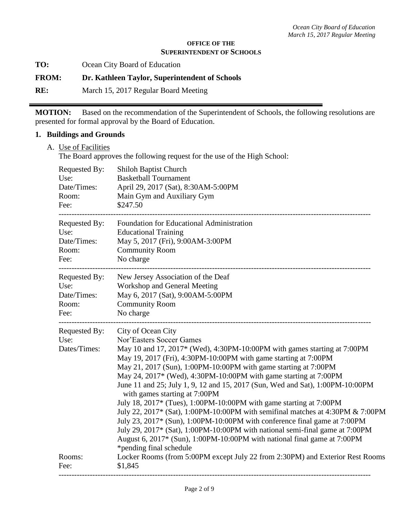#### **OFFICE OF THE SUPERINTENDENT OF SCHOOLS**

**TO:** Ocean City Board of Education

**FROM: Dr. Kathleen Taylor, Superintendent of Schools**

**RE:** March 15, 2017 Regular Board Meeting

**MOTION:** Based on the recommendation of the Superintendent of Schools, the following resolutions are presented for formal approval by the Board of Education.

#### **1. Buildings and Grounds**

A. Use of Facilities

The Board approves the following request for the use of the High School:

| Requested By:                                   | <b>Shiloh Baptist Church</b>                                                                                                                                                                                                                                                                                                                                                                                                                                                                                                                                                                                                                                                                                                                                                                                                                                                                                                                                        |
|-------------------------------------------------|---------------------------------------------------------------------------------------------------------------------------------------------------------------------------------------------------------------------------------------------------------------------------------------------------------------------------------------------------------------------------------------------------------------------------------------------------------------------------------------------------------------------------------------------------------------------------------------------------------------------------------------------------------------------------------------------------------------------------------------------------------------------------------------------------------------------------------------------------------------------------------------------------------------------------------------------------------------------|
| Use:                                            | <b>Basketball Tournament</b>                                                                                                                                                                                                                                                                                                                                                                                                                                                                                                                                                                                                                                                                                                                                                                                                                                                                                                                                        |
| Date/Times:                                     | April 29, 2017 (Sat), 8:30AM-5:00PM                                                                                                                                                                                                                                                                                                                                                                                                                                                                                                                                                                                                                                                                                                                                                                                                                                                                                                                                 |
| Room:                                           | Main Gym and Auxiliary Gym                                                                                                                                                                                                                                                                                                                                                                                                                                                                                                                                                                                                                                                                                                                                                                                                                                                                                                                                          |
| Fee:                                            | \$247.50                                                                                                                                                                                                                                                                                                                                                                                                                                                                                                                                                                                                                                                                                                                                                                                                                                                                                                                                                            |
| Requested By:                                   | Foundation for Educational Administration                                                                                                                                                                                                                                                                                                                                                                                                                                                                                                                                                                                                                                                                                                                                                                                                                                                                                                                           |
| Use:                                            | <b>Educational Training</b>                                                                                                                                                                                                                                                                                                                                                                                                                                                                                                                                                                                                                                                                                                                                                                                                                                                                                                                                         |
| Date/Times:                                     | May 5, 2017 (Fri), 9:00AM-3:00PM                                                                                                                                                                                                                                                                                                                                                                                                                                                                                                                                                                                                                                                                                                                                                                                                                                                                                                                                    |
| Room:                                           | <b>Community Room</b>                                                                                                                                                                                                                                                                                                                                                                                                                                                                                                                                                                                                                                                                                                                                                                                                                                                                                                                                               |
| Fee:                                            | No charge                                                                                                                                                                                                                                                                                                                                                                                                                                                                                                                                                                                                                                                                                                                                                                                                                                                                                                                                                           |
| Requested By:                                   | New Jersey Association of the Deaf                                                                                                                                                                                                                                                                                                                                                                                                                                                                                                                                                                                                                                                                                                                                                                                                                                                                                                                                  |
| Use:                                            | Workshop and General Meeting                                                                                                                                                                                                                                                                                                                                                                                                                                                                                                                                                                                                                                                                                                                                                                                                                                                                                                                                        |
| Date/Times:                                     | May 6, 2017 (Sat), 9:00AM-5:00PM                                                                                                                                                                                                                                                                                                                                                                                                                                                                                                                                                                                                                                                                                                                                                                                                                                                                                                                                    |
| Room:                                           | <b>Community Room</b>                                                                                                                                                                                                                                                                                                                                                                                                                                                                                                                                                                                                                                                                                                                                                                                                                                                                                                                                               |
| Fee:                                            | No charge                                                                                                                                                                                                                                                                                                                                                                                                                                                                                                                                                                                                                                                                                                                                                                                                                                                                                                                                                           |
| Requested By:<br>Use:<br>Dates/Times:<br>Rooms: | City of Ocean City<br>Nor'Easters Soccer Games<br>May 10 and 17, 2017* (Wed), 4:30PM-10:00PM with games starting at 7:00PM<br>May 19, 2017 (Fri), 4:30PM-10:00PM with game starting at 7:00PM<br>May 21, 2017 (Sun), 1:00PM-10:00PM with game starting at 7:00PM<br>May 24, 2017* (Wed), 4:30PM-10:00PM with game starting at 7:00PM<br>June 11 and 25; July 1, 9, 12 and 15, 2017 (Sun, Wed and Sat), 1:00PM-10:00PM<br>with games starting at 7:00PM<br>July 18, 2017* (Tues), 1:00PM-10:00PM with game starting at 7:00PM<br>July 22, 2017* (Sat), 1:00PM-10:00PM with semifinal matches at 4:30PM & 7:00PM<br>July 23, 2017* (Sun), 1:00PM-10:00PM with conference final game at 7:00PM<br>July 29, 2017* (Sat), 1:00PM-10:00PM with national semi-final game at 7:00PM<br>August 6, 2017* (Sun), 1:00PM-10:00PM with national final game at 7:00PM<br>*pending final schedule<br>Locker Rooms (from 5:00PM except July 22 from 2:30PM) and Exterior Rest Rooms |
| Fee:                                            | \$1,845                                                                                                                                                                                                                                                                                                                                                                                                                                                                                                                                                                                                                                                                                                                                                                                                                                                                                                                                                             |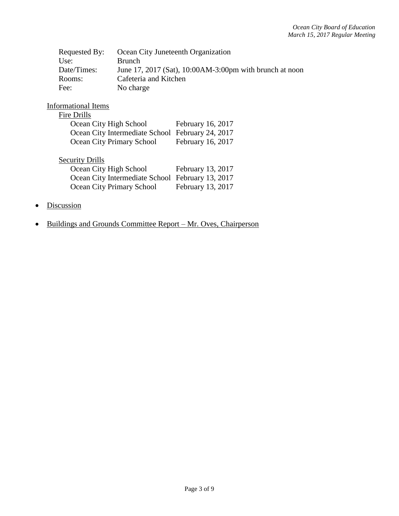| Requested By: | Ocean City Juneteenth Organization                      |
|---------------|---------------------------------------------------------|
| Use:          | <b>Brunch</b>                                           |
| Date/Times:   | June 17, 2017 (Sat), 10:00AM-3:00pm with brunch at noon |
| Rooms:        | Cafeteria and Kitchen                                   |
| Fee:          | No charge                                               |

## Informational Items

#### Fire Drills

| Ocean City High School                           | February 16, 2017 |
|--------------------------------------------------|-------------------|
| Ocean City Intermediate School February 24, 2017 |                   |
| Ocean City Primary School                        | February 16, 2017 |

## **Security Drills**

| Ocean City High School                           | February 13, 2017 |
|--------------------------------------------------|-------------------|
| Ocean City Intermediate School February 13, 2017 |                   |
| Ocean City Primary School                        | February 13, 2017 |

- Discussion
- Buildings and Grounds Committee Report Mr. Oves, Chairperson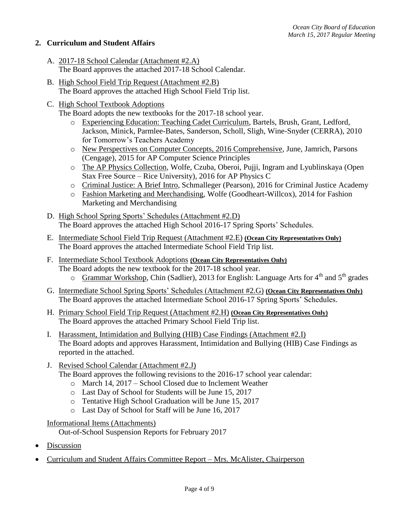### **2. Curriculum and Student Affairs**

- A. 2017-18 School Calendar (Attachment #2.A) The Board approves the attached 2017-18 School Calendar.
- B. High School Field Trip Request (Attachment #2.B) The Board approves the attached High School Field Trip list.
- C. High School Textbook Adoptions

The Board adopts the new textbooks for the 2017-18 school year.

- o Experiencing Education: Teaching Cadet Curriculum, Bartels, Brush, Grant, Ledford, Jackson, Minick, Parmlee-Bates, Sanderson, Scholl, Sligh, Wine-Snyder (CERRA), 2010 for Tomorrow's Teachers Academy
- o New Perspectives on Computer Concepts, 2016 Comprehensive, June, Jamrich, Parsons (Cengage), 2015 for AP Computer Science Principles
- o The AP Physics Collection, Wolfe, Czuba, Oberoi, Pujji, Ingram and Lyublinskaya (Open Stax Free Source – Rice University), 2016 for AP Physics C
- o Criminal Justice: A Brief Intro, Schmalleger (Pearson), 2016 for Criminal Justice Academy
- o Fashion Marketing and Merchandising, Wolfe (Goodheart-Willcox), 2014 for Fashion Marketing and Merchandising
- D. High School Spring Sports' Schedules (Attachment #2.D) The Board approves the attached High School 2016-17 Spring Sports' Schedules.
- E. Intermediate School Field Trip Request (Attachment #2.E) **(Ocean City Representatives Only)** The Board approves the attached Intermediate School Field Trip list.
- F. Intermediate School Textbook Adoptions **(Ocean City Representatives Only)** The Board adopts the new textbook for the 2017-18 school year.  $\circ$  Grammar Workshop, Chin (Sadlier), 2013 for English: Language Arts for 4<sup>th</sup> and 5<sup>th</sup> grades
- G. Intermediate School Spring Sports' Schedules (Attachment #2.G) **(Ocean City Representatives Only)** The Board approves the attached Intermediate School 2016-17 Spring Sports' Schedules.
- H. Primary School Field Trip Request (Attachment #2.H) **(Ocean City Representatives Only)** The Board approves the attached Primary School Field Trip list.
- I. Harassment, Intimidation and Bullying (HIB) Case Findings (Attachment #2.I) The Board adopts and approves Harassment, Intimidation and Bullying (HIB) Case Findings as reported in the attached.
- J. Revised School Calendar (Attachment #2.J)
	- The Board approves the following revisions to the 2016-17 school year calendar:
		- o March 14, 2017 School Closed due to Inclement Weather
		- o Last Day of School for Students will be June 15, 2017
		- o Tentative High School Graduation will be June 15, 2017
		- o Last Day of School for Staff will be June 16, 2017
- Informational Items (Attachments)

Out-of-School Suspension Reports for February 2017

- Discussion
- Curriculum and Student Affairs Committee Report Mrs. McAlister, Chairperson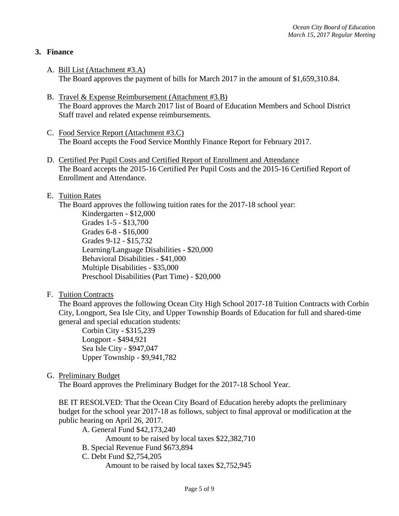## **3. Finance**

- A. Bill List (Attachment #3.A) The Board approves the payment of bills for March 2017 in the amount of \$1,659,310.84.
- B. Travel & Expense Reimbursement (Attachment #3.B) The Board approves the March 2017 list of Board of Education Members and School District Staff travel and related expense reimbursements.
- C. Food Service Report (Attachment #3.C) The Board accepts the Food Service Monthly Finance Report for February 2017.
- D. Certified Per Pupil Costs and Certified Report of Enrollment and Attendance The Board accepts the 2015-16 Certified Per Pupil Costs and the 2015-16 Certified Report of Enrollment and Attendance.

#### E. Tuition Rates

The Board approves the following tuition rates for the 2017-18 school year:

Kindergarten - \$12,000 Grades 1-5 - \$13,700 Grades 6-8 - \$16,000 Grades 9-12 - \$15,732 Learning/Language Disabilities - \$20,000 Behavioral Disabilities - \$41,000 Multiple Disabilities - \$35,000 Preschool Disabilities (Part Time) - \$20,000

F. Tuition Contracts

The Board approves the following Ocean City High School 2017-18 Tuition Contracts with Corbin City, Longport, Sea Isle City, and Upper Township Boards of Education for full and shared-time general and special education students:

Corbin City - \$315,239 Longport - \$494,921 Sea Isle City - \$947,047 Upper Township - \$9,941,782

G. Preliminary Budget

The Board approves the Preliminary Budget for the 2017-18 School Year.

BE IT RESOLVED: That the Ocean City Board of Education hereby adopts the preliminary budget for the school year 2017-18 as follows, subject to final approval or modification at the public hearing on April 26, 2017.

A. General Fund \$42,173,240 Amount to be raised by local taxes \$22,382,710 B. Special Revenue Fund \$673,894 C. Debt Fund \$2,754,205 Amount to be raised by local taxes \$2,752,945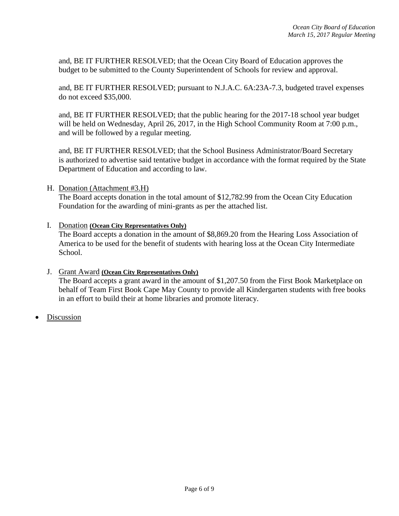and, BE IT FURTHER RESOLVED; that the Ocean City Board of Education approves the budget to be submitted to the County Superintendent of Schools for review and approval.

and, BE IT FURTHER RESOLVED; pursuant to N.J.A.C. 6A:23A-7.3, budgeted travel expenses do not exceed \$35,000.

and, BE IT FURTHER RESOLVED; that the public hearing for the 2017-18 school year budget will be held on Wednesday, April 26, 2017, in the High School Community Room at 7:00 p.m., and will be followed by a regular meeting.

and, BE IT FURTHER RESOLVED; that the School Business Administrator/Board Secretary is authorized to advertise said tentative budget in accordance with the format required by the State Department of Education and according to law.

H. Donation (Attachment #3.H)

The Board accepts donation in the total amount of \$12,782.99 from the Ocean City Education Foundation for the awarding of mini-grants as per the attached list.

I. Donation **(Ocean City Representatives Only)** 

The Board accepts a donation in the amount of \$8,869.20 from the Hearing Loss Association of America to be used for the benefit of students with hearing loss at the Ocean City Intermediate School.

#### J. Grant Award **(Ocean City Representatives Only)**

The Board accepts a grant award in the amount of \$1,207.50 from the First Book Marketplace on behalf of Team First Book Cape May County to provide all Kindergarten students with free books in an effort to build their at home libraries and promote literacy.

Discussion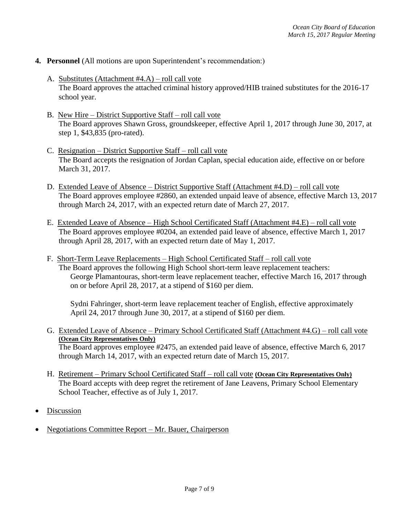- **4. Personnel** (All motions are upon Superintendent's recommendation:)
	- A. Substitutes (Attachment #4.A) roll call vote The Board approves the attached criminal history approved/HIB trained substitutes for the 2016-17 school year.
	- B. New Hire District Supportive Staff roll call vote The Board approves Shawn Gross, groundskeeper, effective April 1, 2017 through June 30, 2017, at step 1, \$43,835 (pro-rated).
	- C. Resignation District Supportive Staff roll call vote The Board accepts the resignation of Jordan Caplan, special education aide, effective on or before March 31, 2017.
	- D. Extended Leave of Absence District Supportive Staff (Attachment #4.D) roll call vote The Board approves employee #2860, an extended unpaid leave of absence, effective March 13, 2017 through March 24, 2017, with an expected return date of March 27, 2017.
	- E. Extended Leave of Absence High School Certificated Staff (Attachment #4.E) roll call vote The Board approves employee #0204, an extended paid leave of absence, effective March 1, 2017 through April 28, 2017, with an expected return date of May 1, 2017.
	- F. Short-Term Leave Replacements High School Certificated Staff roll call vote The Board approves the following High School short-term leave replacement teachers: George Plamantouras, short-term leave replacement teacher, effective March 16, 2017 through on or before April 28, 2017, at a stipend of \$160 per diem.

Sydni Fahringer, short-term leave replacement teacher of English, effective approximately April 24, 2017 through June 30, 2017, at a stipend of \$160 per diem.

- G. Extended Leave of Absence Primary School Certificated Staff (Attachment #4.G) roll call vote **(Ocean City Representatives Only)** The Board approves employee #2475, an extended paid leave of absence, effective March 6, 2017 through March 14, 2017, with an expected return date of March 15, 2017.
- H. Retirement Primary School Certificated Staff roll call vote **(Ocean City Representatives Only)** The Board accepts with deep regret the retirement of Jane Leavens, Primary School Elementary School Teacher, effective as of July 1, 2017.
- Discussion
- Negotiations Committee Report Mr. Bauer, Chairperson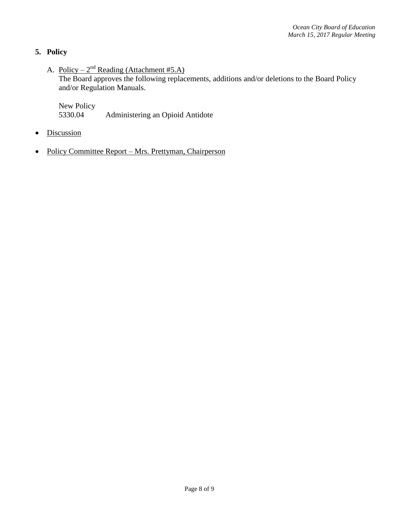## **5. Policy**

A. <u>Policy – 2<sup>nd</sup> Reading (Attachment #5.A)</u>

The Board approves the following replacements, additions and/or deletions to the Board Policy and/or Regulation Manuals.

New Policy 5330.04 Administering an Opioid Antidote

- Discussion
- Policy Committee Report Mrs. Prettyman, Chairperson